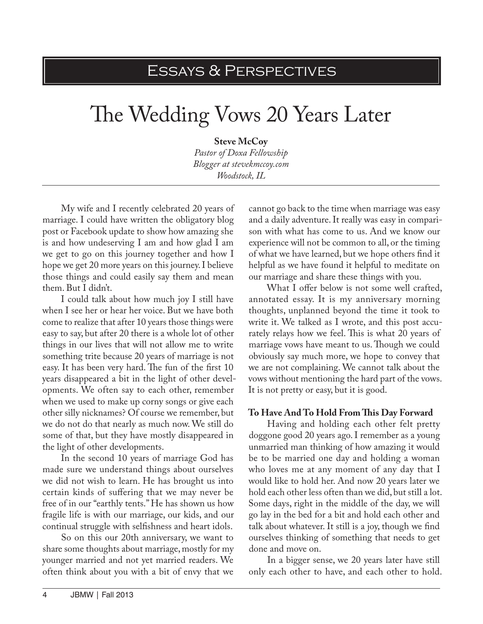# Essays & Perspectives

# The Wedding Vows 20 Years Later

**Steve McCoy**

*Pastor of Doxa Fellowship Blogger at stevekmccoy.com Woodstock, IL*

My wife and I recently celebrated 20 years of marriage. I could have written the obligatory blog post or Facebook update to show how amazing she is and how undeserving I am and how glad I am we get to go on this journey together and how I hope we get 20 more years on this journey. I believe those things and could easily say them and mean them. But I didn't.

I could talk about how much joy I still have when I see her or hear her voice. But we have both come to realize that after 10 years those things were easy to say, but after 20 there is a whole lot of other things in our lives that will not allow me to write something trite because 20 years of marriage is not easy. It has been very hard. The fun of the first 10 years disappeared a bit in the light of other developments. We often say to each other, remember when we used to make up corny songs or give each other silly nicknames? Of course we remember, but we do not do that nearly as much now. We still do some of that, but they have mostly disappeared in the light of other developments.

In the second 10 years of marriage God has made sure we understand things about ourselves we did not wish to learn. He has brought us into certain kinds of suffering that we may never be free of in our "earthly tents." He has shown us how fragile life is with our marriage, our kids, and our continual struggle with selfishness and heart idols.

So on this our 20th anniversary, we want to share some thoughts about marriage, mostly for my younger married and not yet married readers. We often think about you with a bit of envy that we

cannot go back to the time when marriage was easy and a daily adventure. It really was easy in comparison with what has come to us. And we know our experience will not be common to all, or the timing of what we have learned, but we hope others find it helpful as we have found it helpful to meditate on our marriage and share these things with you.

What I offer below is not some well crafted, annotated essay. It is my anniversary morning thoughts, unplanned beyond the time it took to write it. We talked as I wrote, and this post accurately relays how we feel. This is what 20 years of marriage vows have meant to us. Though we could obviously say much more, we hope to convey that we are not complaining. We cannot talk about the vows without mentioning the hard part of the vows. It is not pretty or easy, but it is good.

#### **To Have And To Hold From This Day Forward**

Having and holding each other felt pretty doggone good 20 years ago. I remember as a young unmarried man thinking of how amazing it would be to be married one day and holding a woman who loves me at any moment of any day that I would like to hold her. And now 20 years later we hold each other less often than we did, but still a lot. Some days, right in the middle of the day, we will go lay in the bed for a bit and hold each other and talk about whatever. It still is a joy, though we find ourselves thinking of something that needs to get done and move on.

In a bigger sense, we 20 years later have still only each other to have, and each other to hold.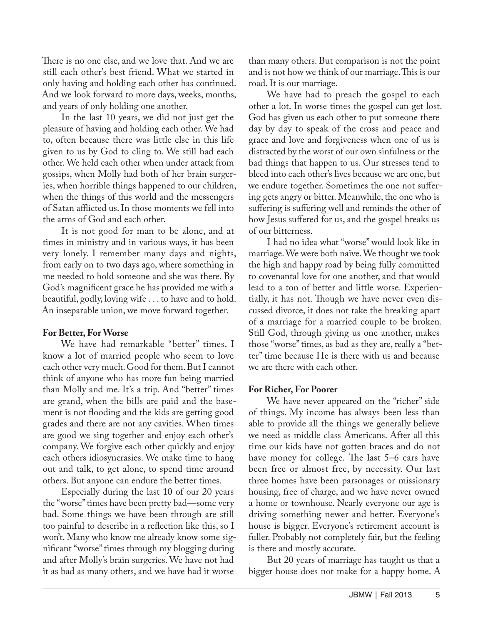There is no one else, and we love that. And we are still each other's best friend. What we started in only having and holding each other has continued. And we look forward to more days, weeks, months, and years of only holding one another.

In the last 10 years, we did not just get the pleasure of having and holding each other. We had to, often because there was little else in this life given to us by God to cling to. We still had each other. We held each other when under attack from gossips, when Molly had both of her brain surgeries, when horrible things happened to our children, when the things of this world and the messengers of Satan afflicted us. In those moments we fell into the arms of God and each other.

It is not good for man to be alone, and at times in ministry and in various ways, it has been very lonely. I remember many days and nights, from early on to two days ago, where something in me needed to hold someone and she was there. By God's magnificent grace he has provided me with a beautiful, godly, loving wife . . . to have and to hold. An inseparable union, we move forward together.

#### **For Better, For Worse**

We have had remarkable "better" times. I know a lot of married people who seem to love each other very much. Good for them. But I cannot think of anyone who has more fun being married than Molly and me. It's a trip. And "better" times are grand, when the bills are paid and the basement is not flooding and the kids are getting good grades and there are not any cavities. When times are good we sing together and enjoy each other's company. We forgive each other quickly and enjoy each others idiosyncrasies. We make time to hang out and talk, to get alone, to spend time around others. But anyone can endure the better times.

Especially during the last 10 of our 20 years the "worse" times have been pretty bad—some very bad. Some things we have been through are still too painful to describe in a reflection like this, so I won't. Many who know me already know some significant "worse" times through my blogging during and after Molly's brain surgeries. We have not had it as bad as many others, and we have had it worse

than many others. But comparison is not the point and is not how we think of our marriage. This is our road. It is our marriage.

We have had to preach the gospel to each other a lot. In worse times the gospel can get lost. God has given us each other to put someone there day by day to speak of the cross and peace and grace and love and forgiveness when one of us is distracted by the worst of our own sinfulness or the bad things that happen to us. Our stresses tend to bleed into each other's lives because we are one, but we endure together. Sometimes the one not suffering gets angry or bitter. Meanwhile, the one who is suffering is suffering well and reminds the other of how Jesus suffered for us, and the gospel breaks us of our bitterness.

I had no idea what "worse" would look like in marriage. We were both naïve. We thought we took the high and happy road by being fully committed to covenantal love for one another, and that would lead to a ton of better and little worse. Experientially, it has not. Though we have never even discussed divorce, it does not take the breaking apart of a marriage for a married couple to be broken. Still God, through giving us one another, makes those "worse" times, as bad as they are, really a "better" time because He is there with us and because we are there with each other.

# **For Richer, For Poorer**

We have never appeared on the "richer" side of things. My income has always been less than able to provide all the things we generally believe we need as middle class Americans. After all this time our kids have not gotten braces and do not have money for college. The last 5–6 cars have been free or almost free, by necessity. Our last three homes have been parsonages or missionary housing, free of charge, and we have never owned a home or townhouse. Nearly everyone our age is driving something newer and better. Everyone's house is bigger. Everyone's retirement account is fuller. Probably not completely fair, but the feeling is there and mostly accurate.

But 20 years of marriage has taught us that a bigger house does not make for a happy home. A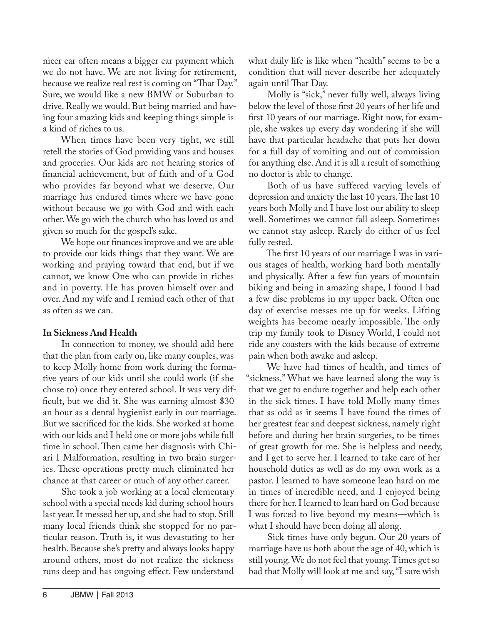nicer car often means a bigger car payment which we do not have. We are not living for retirement, because we realize real rest is coming on "That Day." Sure, we would like a new BMW or Suburban to drive. Really we would. But being married and having four amazing kids and keeping things simple is a kind of riches to us.

When times have been very tight, we still retell the stories of God providing vans and houses and groceries. Our kids are not hearing stories of financial achievement, but of faith and of a God who provides far beyond what we deserve. Our marriage has endured times where we have gone without because we go with God and with each other. We go with the church who has loved us and given so much for the gospel's sake.

We hope our finances improve and we are able to provide our kids things that they want. We are working and praying toward that end, but if we cannot, we know One who can provide in riches and in poverty. He has proven himself over and over. And my wife and I remind each other of that as often as we can.

# **In Sickness And Health**

In connection to money, we should add here that the plan from early on, like many couples, was to keep Molly home from work during the formative years of our kids until she could work (if she chose to) once they entered school. It was very difficult, but we did it. She was earning almost \$30 an hour as a dental hygienist early in our marriage. But we sacrificed for the kids. She worked at home with our kids and I held one or more jobs while full time in school. Then came her diagnosis with Chiari I Malformation, resulting in two brain surgeries. These operations pretty much eliminated her chance at that career or much of any other career.

She took a job working at a local elementary school with a special needs kid during school hours last year. It messed her up, and she had to stop. Still many local friends think she stopped for no particular reason. Truth is, it was devastating to her health. Because she's pretty and always looks happy around others, most do not realize the sickness runs deep and has ongoing effect. Few understand

what daily life is like when "health" seems to be a condition that will never describe her adequately again until That Day.

Molly is "sick," never fully well, always living below the level of those first 20 years of her life and first 10 years of our marriage. Right now, for example, she wakes up every day wondering if she will have that particular headache that puts her down for a full day of vomiting and out of commission for anything else. And it is all a result of something no doctor is able to change.

Both of us have suffered varying levels of depression and anxiety the last 10 years. The last 10 years both Molly and I have lost our ability to sleep well. Sometimes we cannot fall asleep. Sometimes we cannot stay asleep. Rarely do either of us feel fully rested.

The first 10 years of our marriage I was in various stages of health, working hard both mentally and physically. After a few fun years of mountain biking and being in amazing shape, I found I had a few disc problems in my upper back. Often one day of exercise messes me up for weeks. Lifting weights has become nearly impossible. The only trip my family took to Disney World, I could not ride any coasters with the kids because of extreme pain when both awake and asleep.

We have had times of health, and times of "sickness." What we have learned along the way is that we get to endure together and help each other in the sick times. I have told Molly many times that as odd as it seems I have found the times of her greatest fear and deepest sickness, namely right before and during her brain surgeries, to be times of great growth for me. She is helpless and needy, and I get to serve her. I learned to take care of her household duties as well as do my own work as a pastor. I learned to have someone lean hard on me in times of incredible need, and I enjoyed being there for her. I learned to lean hard on God because I was forced to live beyond my means—which is what I should have been doing all along.

Sick times have only begun. Our 20 years of marriage have us both about the age of 40, which is still young. We do not feel that young. Times get so bad that Molly will look at me and say, "I sure wish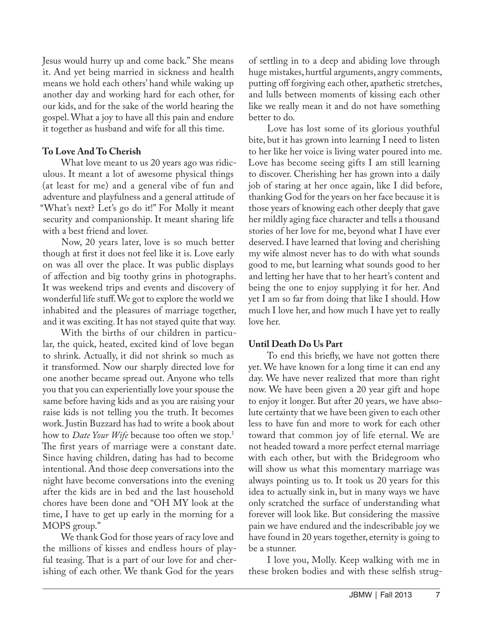Jesus would hurry up and come back." She means it. And yet being married in sickness and health means we hold each others' hand while waking up another day and working hard for each other, for our kids, and for the sake of the world hearing the gospel. What a joy to have all this pain and endure it together as husband and wife for all this time.

# **To Love And To Cherish**

What love meant to us 20 years ago was ridiculous. It meant a lot of awesome physical things (at least for me) and a general vibe of fun and adventure and playfulness and a general attitude of "What's next? Let's go do it!" For Molly it meant security and companionship. It meant sharing life with a best friend and lover.

Now, 20 years later, love is so much better though at first it does not feel like it is. Love early on was all over the place. It was public displays of affection and big toothy grins in photographs. It was weekend trips and events and discovery of wonderful life stuff. We got to explore the world we inhabited and the pleasures of marriage together, and it was exciting. It has not stayed quite that way.

With the births of our children in particular, the quick, heated, excited kind of love began to shrink. Actually, it did not shrink so much as it transformed. Now our sharply directed love for one another became spread out. Anyone who tells you that you can experientially love your spouse the same before having kids and as you are raising your raise kids is not telling you the truth. It becomes work. Justin Buzzard has had to write a book about how to *Date Your Wife* because too often we stop.<sup>1</sup> The first years of marriage were a constant date. Since having children, dating has had to become intentional. And those deep conversations into the night have become conversations into the evening after the kids are in bed and the last household chores have been done and "OH MY look at the time, I have to get up early in the morning for a MOPS group."

We thank God for those years of racy love and the millions of kisses and endless hours of playful teasing. That is a part of our love for and cherishing of each other. We thank God for the years

of settling in to a deep and abiding love through huge mistakes, hurtful arguments, angry comments, putting off forgiving each other, apathetic stretches, and lulls between moments of kissing each other like we really mean it and do not have something better to do.

Love has lost some of its glorious youthful bite, but it has grown into learning I need to listen to her like her voice is living water poured into me. Love has become seeing gifts I am still learning to discover. Cherishing her has grown into a daily job of staring at her once again, like I did before, thanking God for the years on her face because it is those years of knowing each other deeply that gave her mildly aging face character and tells a thousand stories of her love for me, beyond what I have ever deserved. I have learned that loving and cherishing my wife almost never has to do with what sounds good to me, but learning what sounds good to her and letting her have that to her heart's content and being the one to enjoy supplying it for her. And yet I am so far from doing that like I should. How much I love her, and how much I have yet to really love her.

# **Until Death Do Us Part**

To end this briefly, we have not gotten there yet. We have known for a long time it can end any day. We have never realized that more than right now. We have been given a 20 year gift and hope to enjoy it longer. But after 20 years, we have absolute certainty that we have been given to each other less to have fun and more to work for each other toward that common joy of life eternal. We are not headed toward a more perfect eternal marriage with each other, but with the Bridegroom who will show us what this momentary marriage was always pointing us to. It took us 20 years for this idea to actually sink in, but in many ways we have only scratched the surface of understanding what forever will look like. But considering the massive pain we have endured and the indescribable joy we have found in 20 years together, eternity is going to be a stunner.

I love you, Molly. Keep walking with me in these broken bodies and with these selfish strug